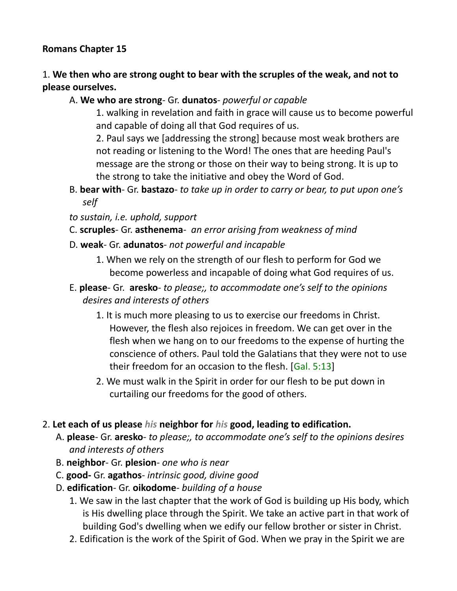#### **Romans Chapter 15**

### 1. **We then who are strong ought to bear with the scruples of the weak, and not to please ourselves.**

#### A. **We who are strong**- Gr. **dunatos**- *powerful or capable*

1. walking in revelation and faith in grace will cause us to become powerful and capable of doing all that God requires of us.

2. Paul says we [addressing the strong] because most weak brothers are not reading or listening to the Word! The ones that are heeding Paul's message are the strong or those on their way to being strong. It is up to the strong to take the initiative and obey the Word of God.

- B. **bear with** Gr. **bastazo** *to take up in order to carry or bear, to put upon one's self*
- *to sustain, i.e. uphold, support*
- C. **scruples** Gr. **asthenema** *an error arising from weakness of mind*
- D. **weak** Gr. **adunatos** *not powerful and incapable*
	- 1. When we rely on the strength of our flesh to perform for God we become powerless and incapable of doing what God requires of us.
- E. **please** Gr. **aresko** *to please;, to accommodate one's self to the opinions desires and interests of others*
	- 1. It is much more pleasing to us to exercise our freedoms in Christ. However, the flesh also rejoices in freedom. We can get over in the flesh when we hang on to our freedoms to the expense of hurting the conscience of others. Paul told the Galatians that they were not to use their freedom for an occasion to the flesh. [Gal. 5:13]
	- 2. We must walk in the Spirit in order for our flesh to be put down in curtailing our freedoms for the good of others.

#### 2. **Let each of us please** *his* **neighbor for** *his* **good, leading to edification.**

- A. **please** Gr. **aresko** *to please;, to accommodate one's self to the opinions desires and interests of others*
- B. **neighbor** Gr. **plesion** *one who is near*
- C. **good-** Gr. **agathos** *intrinsic good, divine good*
- D. **edification** Gr. **oikodome** *building of a house*
	- 1. We saw in the last chapter that the work of God is building up His body, which is His dwelling place through the Spirit. We take an active part in that work of building God's dwelling when we edify our fellow brother or sister in Christ.
	- 2. Edification is the work of the Spirit of God. When we pray in the Spirit we are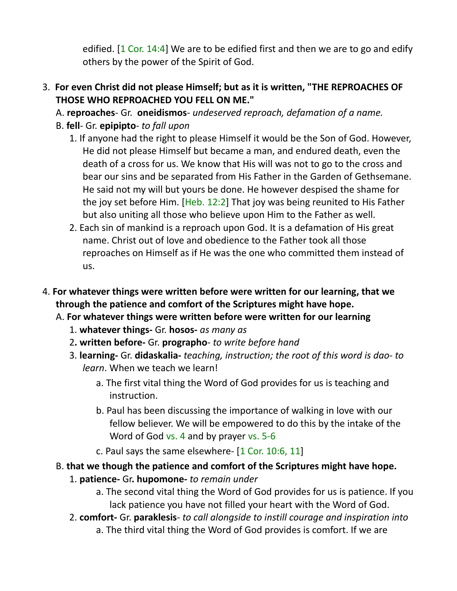edified. [1 Cor. 14:4] We are to be edified first and then we are to go and edify others by the power of the Spirit of God.

- 3. **For even Christ did not please Himself; but as it is written, "THE REPROACHES OF THOSE WHO REPROACHED YOU FELL ON ME."**
	- A. **reproaches** Gr. **oneidismos** *undeserved reproach, defamation of a name.*
	- B. **fell** Gr. **epipipto** *to fall upon*
		- 1. If anyone had the right to please Himself it would be the Son of God. However, He did not please Himself but became a man, and endured death, even the death of a cross for us. We know that His will was not to go to the cross and bear our sins and be separated from His Father in the Garden of Gethsemane. He said not my will but yours be done. He however despised the shame for the joy set before Him. [Heb. 12:2] That joy was being reunited to His Father but also uniting all those who believe upon Him to the Father as well.
		- 2. Each sin of mankind is a reproach upon God. It is a defamation of His great name. Christ out of love and obedience to the Father took all those reproaches on Himself as if He was the one who committed them instead of us.
- 4. **For whatever things were written before were written for our learning, that we through the patience and comfort of the Scriptures might have hope.**
	- A. **For whatever things were written before were written for our learning**
		- 1. **whatever things-** Gr. **hosos-** *as many as*
		- 2**. written before-** Gr. **prographo** *to write before hand*
		- 3. **learning-** Gr. **didaskalia-** *teaching, instruction; the root of this word is dao- to learn*. When we teach we learn!
			- a. The first vital thing the Word of God provides for us is teaching and instruction.
			- b. Paul has been discussing the importance of walking in love with our fellow believer. We will be empowered to do this by the intake of the Word of God vs. 4 and by prayer vs. 5-6
			- c. Paul says the same elsewhere- [1 Cor. 10:6, 11]
	- B. **that we though the patience and comfort of the Scriptures might have hope.**
		- 1. **patience-** Gr**. hupomone-** *to remain under*
			- a. The second vital thing the Word of God provides for us is patience. If you lack patience you have not filled your heart with the Word of God.
		- 2. **comfort-** Gr. **paraklesis** *to call alongside to instill courage and inspiration into*
			- a. The third vital thing the Word of God provides is comfort. If we are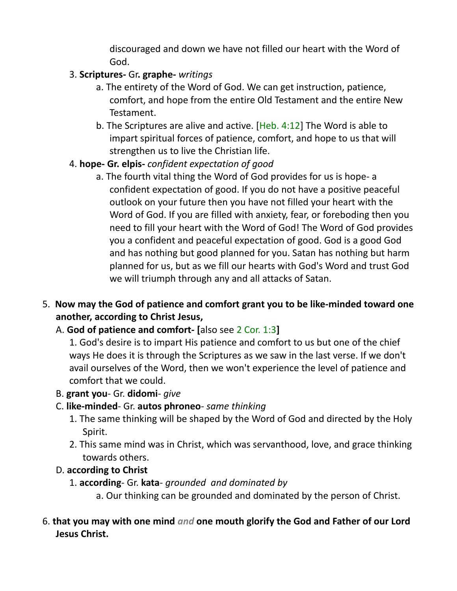discouraged and down we have not filled our heart with the Word of God.

### 3. **Scriptures-** Gr**. graphe-** *writings*

- a. The entirety of the Word of God. We can get instruction, patience, comfort, and hope from the entire Old Testament and the entire New Testament.
- b. The Scriptures are alive and active. [Heb. 4:12] The Word is able to impart spiritual forces of patience, comfort, and hope to us that will strengthen us to live the Christian life.

## 4. **hope- Gr. elpis-** *confident expectation of good*

- a. The fourth vital thing the Word of God provides for us is hope- a confident expectation of good. If you do not have a positive peaceful outlook on your future then you have not filled your heart with the Word of God. If you are filled with anxiety, fear, or foreboding then you need to fill your heart with the Word of God! The Word of God provides you a confident and peaceful expectation of good. God is a good God and has nothing but good planned for you. Satan has nothing but harm planned for us, but as we fill our hearts with God's Word and trust God we will triumph through any and all attacks of Satan.
- 5. **Now may the God of patience and comfort grant you to be like-minded toward one another, according to Christ Jesus,**

#### A. **God of patience and comfort- [**also see 2 Cor. 1:3**]**

1. God's desire is to impart His patience and comfort to us but one of the chief ways He does it is through the Scriptures as we saw in the last verse. If we don't avail ourselves of the Word, then we won't experience the level of patience and comfort that we could.

B. **grant you**- Gr. **didomi**- *give*

#### C. **like-minded**- Gr. **autos phroneo**- *same thinking*

- 1. The same thinking will be shaped by the Word of God and directed by the Holy Spirit.
- 2. This same mind was in Christ, which was servanthood, love, and grace thinking towards others.

#### D. **according to Christ**

- 1. **according** Gr. **kata** *grounded and dominated by*
	- a. Our thinking can be grounded and dominated by the person of Christ.

### 6. **that you may with one mind** *and* **one mouth glorify the God and Father of our Lord Jesus Christ.**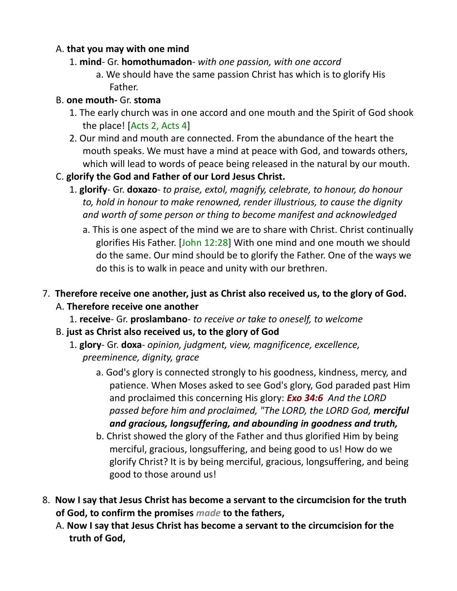### A. **that you may with one mind**

### 1. **mind**- Gr. **homothumadon**- *with one passion, with one accord*

a. We should have the same passion Christ has which is to glorify His Father.

### B. **one mouth-** Gr. **stoma**

- 1. The early church was in one accord and one mouth and the Spirit of God shook the place! [Acts 2, Acts 4]
- 2. Our mind and mouth are connected. From the abundance of the heart the mouth speaks. We must have a mind at peace with God, and towards others, which will lead to words of peace being released in the natural by our mouth.

## C. **glorify the God and Father of our Lord Jesus Christ.**

- 1. **glorify** Gr. **doxazo** *to praise, extol, magnify, celebrate, to honour, do honour to, hold in honour to make renowned, render illustrious, to cause the dignity and worth of some person or thing to become manifest and acknowledged*
	- a. This is one aspect of the mind we are to share with Christ. Christ continually glorifies His Father. [John 12:28] With one mind and one mouth we should do the same. Our mind should be to glorify the Father. One of the ways we do this is to walk in peace and unity with our brethren.
- 7. **Therefore receive one another, just as Christ also received us, to the glory of God.**  A. **Therefore receive one another**
	- 1. **receive** Gr. **proslambano** *to receive or take to oneself, to welcome*
	- B. **just as Christ also received us, to the glory of God**
		- 1. **glory** Gr. **doxa** *opinion, judgment, view, magnificence, excellence, preeminence, dignity, grace*
			- a. God's glory is connected strongly to his goodness, kindness, mercy, and patience. When Moses asked to see God's glory, God paraded past Him and proclaimed this concerning His glory: *Exo 34:6 And the LORD passed before him and proclaimed, "The LORD, the LORD God, merciful and gracious, longsuffering, and abounding in goodness and truth,*
			- b. Christ showed the glory of the Father and thus glorified Him by being merciful, gracious, longsuffering, and being good to us! How do we glorify Christ? It is by being merciful, gracious, longsuffering, and being good to those around us!
- 8. **Now I say that Jesus Christ has become a servant to the circumcision for the truth of God, to confirm the promises** *made* **to the fathers,**
	- A. **Now I say that Jesus Christ has become a servant to the circumcision for the truth of God,**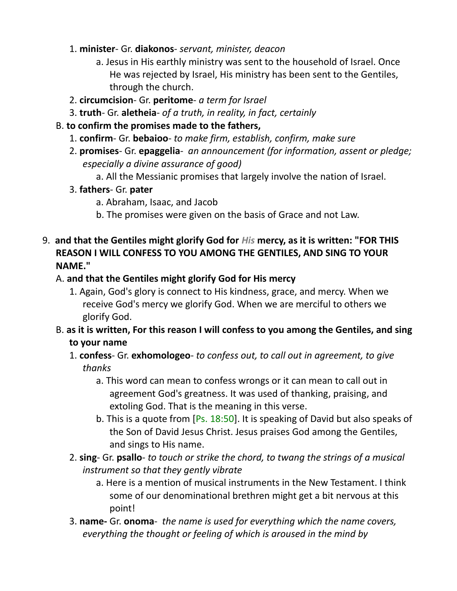#### 1. **minister**- Gr. **diakonos**- *servant, minister, deacon*

- a. Jesus in His earthly ministry was sent to the household of Israel. Once He was rejected by Israel, His ministry has been sent to the Gentiles, through the church.
- 2. **circumcision** Gr. **peritome** *a term for Israel*
- 3. **truth** Gr. **aletheia** *of a truth, in reality, in fact, certainly*
- B. **to confirm the promises made to the fathers,**
	- 1. **confirm** Gr. **bebaioo** *to make firm, establish, confirm, make sure*
	- 2. **promises** Gr. **epaggelia** *an announcement (for information, assent or pledge; especially a divine assurance of good)*
		- a. All the Messianic promises that largely involve the nation of Israel.
	- 3. **fathers** Gr. **pater**
		- a. Abraham, Isaac, and Jacob
		- b. The promises were given on the basis of Grace and not Law.
- 9. **and that the Gentiles might glorify God for** *His* **mercy, as it is written: "FOR THIS REASON I WILL CONFESS TO YOU AMONG THE GENTILES, AND SING TO YOUR NAME."**

#### A. **and that the Gentiles might glorify God for His mercy**

- 1. Again, God's glory is connect to His kindness, grace, and mercy. When we receive God's mercy we glorify God. When we are merciful to others we glorify God.
- B. **as it is written, For this reason I will confess to you among the Gentiles, and sing to your name**
	- 1. **confess** Gr. **exhomologeo** *to confess out, to call out in agreement, to give thanks*
		- a. This word can mean to confess wrongs or it can mean to call out in agreement God's greatness. It was used of thanking, praising, and extoling God. That is the meaning in this verse.
		- b. This is a quote from [Ps. 18:50]. It is speaking of David but also speaks of the Son of David Jesus Christ. Jesus praises God among the Gentiles, and sings to His name.
	- 2. **sing** Gr. **psallo** *to touch or strike the chord, to twang the strings of a musical instrument so that they gently vibrate*
		- a. Here is a mention of musical instruments in the New Testament. I think some of our denominational brethren might get a bit nervous at this point!
	- 3. **name-** Gr. **onoma** *the name is used for everything which the name covers, everything the thought or feeling of which is aroused in the mind by*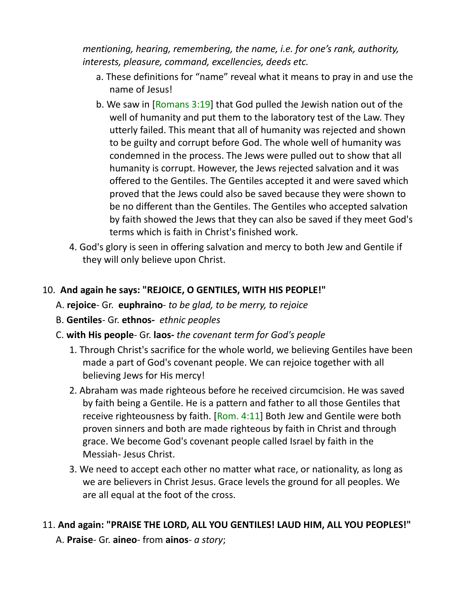*mentioning, hearing, remembering, the name, i.e. for one's rank, authority, interests, pleasure, command, excellencies, deeds etc.*

- a. These definitions for "name" reveal what it means to pray in and use the name of Jesus!
- b. We saw in [Romans 3:19] that God pulled the Jewish nation out of the well of humanity and put them to the laboratory test of the Law. They utterly failed. This meant that all of humanity was rejected and shown to be guilty and corrupt before God. The whole well of humanity was condemned in the process. The Jews were pulled out to show that all humanity is corrupt. However, the Jews rejected salvation and it was offered to the Gentiles. The Gentiles accepted it and were saved which proved that the Jews could also be saved because they were shown to be no different than the Gentiles. The Gentiles who accepted salvation by faith showed the Jews that they can also be saved if they meet God's terms which is faith in Christ's finished work.
- 4. God's glory is seen in offering salvation and mercy to both Jew and Gentile if they will only believe upon Christ.

#### 10. **And again he says: "REJOICE, O GENTILES, WITH HIS PEOPLE!"**

- A. **rejoice** Gr. **euphraino** *to be glad, to be merry, to rejoice*
- B. **Gentiles** Gr. **ethnos-** *ethnic peoples*
- C. **with His people** Gr. **laos-** *the covenant term for God's people*
	- 1. Through Christ's sacrifice for the whole world, we believing Gentiles have been made a part of God's covenant people. We can rejoice together with all believing Jews for His mercy!
	- 2. Abraham was made righteous before he received circumcision. He was saved by faith being a Gentile. He is a pattern and father to all those Gentiles that receive righteousness by faith. [Rom. 4:11] Both Jew and Gentile were both proven sinners and both are made righteous by faith in Christ and through grace. We become God's covenant people called Israel by faith in the Messiah- Jesus Christ.
	- 3. We need to accept each other no matter what race, or nationality, as long as we are believers in Christ Jesus. Grace levels the ground for all peoples. We are all equal at the foot of the cross.

## 11. **And again: "PRAISE THE LORD, ALL YOU GENTILES! LAUD HIM, ALL YOU PEOPLES!"**

A. **Praise**- Gr. **aineo**- from **ainos**- *a story*;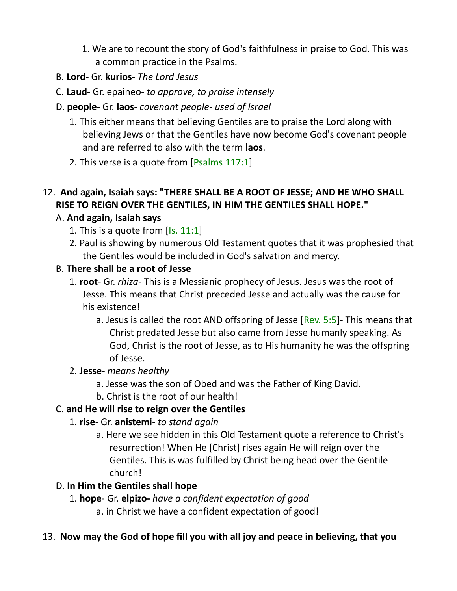- 1. We are to recount the story of God's faithfulness in praise to God. This was a common practice in the Psalms.
- B. **Lord** Gr. **kurios** *The Lord Jesus*
- C. **Laud** Gr. epaineo- *to approve, to praise intensely*
- D. **people** Gr. **laos-** *covenant people- used of Israel*
	- 1. This either means that believing Gentiles are to praise the Lord along with believing Jews or that the Gentiles have now become God's covenant people and are referred to also with the term **laos**.
	- 2. This verse is a quote from [Psalms 117:1]

### 12. **And again, Isaiah says: "THERE SHALL BE A ROOT OF JESSE; AND HE WHO SHALL RISE TO REIGN OVER THE GENTILES, IN HIM THE GENTILES SHALL HOPE."**

#### A. **And again, Isaiah says**

- 1. This is a quote from  $[Is. 11:1]$
- 2. Paul is showing by numerous Old Testament quotes that it was prophesied that the Gentiles would be included in God's salvation and mercy.

#### B. **There shall be a root of Jesse**

- 1. **root** Gr. *rhiza-* This is a Messianic prophecy of Jesus. Jesus was the root of Jesse. This means that Christ preceded Jesse and actually was the cause for his existence!
	- a. Jesus is called the root AND offspring of Jesse  $[Rev. 5:5]$  This means that Christ predated Jesse but also came from Jesse humanly speaking. As God, Christ is the root of Jesse, as to His humanity he was the offspring of Jesse.

#### 2. **Jesse**- *means healthy*

- a. Jesse was the son of Obed and was the Father of King David.
- b. Christ is the root of our health!

#### C. **and He will rise to reign over the Gentiles**

- 1. **rise** Gr. **anistemi** *to stand again*
	- a. Here we see hidden in this Old Testament quote a reference to Christ's resurrection! When He [Christ] rises again He will reign over the Gentiles. This is was fulfilled by Christ being head over the Gentile church!

#### D. **In Him the Gentiles shall hope**

- 1. **hope** Gr. **elpizo-** *have a confident expectation of good*
	- a. in Christ we have a confident expectation of good!

#### 13. **Now may the God of hope fill you with all joy and peace in believing, that you**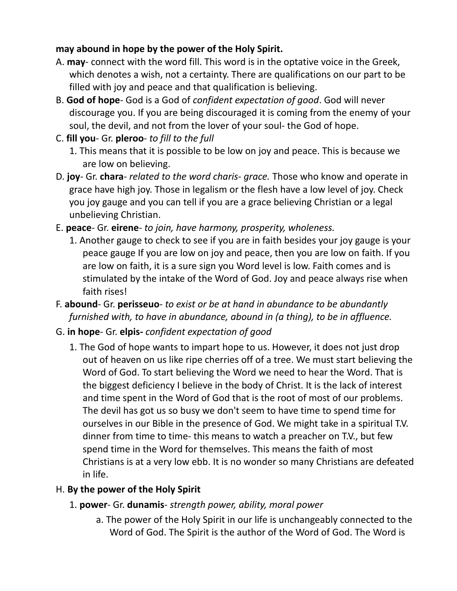### **may abound in hope by the power of the Holy Spirit.**

- A. **may** connect with the word fill. This word is in the optative voice in the Greek, which denotes a wish, not a certainty. There are qualifications on our part to be filled with joy and peace and that qualification is believing.
- B. **God of hope** God is a God of *confident expectation of good*. God will never discourage you. If you are being discouraged it is coming from the enemy of your soul, the devil, and not from the lover of your soul- the God of hope.
- C. **fill you** Gr. **pleroo** *to fill to the full*
	- 1. This means that it is possible to be low on joy and peace. This is because we are low on believing.
- D. **joy** Gr. **chara** *related to the word charis- grace.* Those who know and operate in grace have high joy. Those in legalism or the flesh have a low level of joy. Check you joy gauge and you can tell if you are a grace believing Christian or a legal unbelieving Christian.
- E. **peace** Gr. **eirene** *to join, have harmony, prosperity, wholeness.*
	- 1. Another gauge to check to see if you are in faith besides your joy gauge is your peace gauge If you are low on joy and peace, then you are low on faith. If you are low on faith, it is a sure sign you Word level is low. Faith comes and is stimulated by the intake of the Word of God. Joy and peace always rise when faith rises!
- F. **abound** Gr. **perisseuo** *to exist or be at hand in abundance to be abundantly furnished with, to have in abundance, abound in (a thing), to be in affluence.*

# G. **in hope**- Gr. **elpis-** *confident expectation of good*

1. The God of hope wants to impart hope to us. However, it does not just drop out of heaven on us like ripe cherries off of a tree. We must start believing the Word of God. To start believing the Word we need to hear the Word. That is the biggest deficiency I believe in the body of Christ. It is the lack of interest and time spent in the Word of God that is the root of most of our problems. The devil has got us so busy we don't seem to have time to spend time for ourselves in our Bible in the presence of God. We might take in a spiritual T.V. dinner from time to time- this means to watch a preacher on T.V., but few spend time in the Word for themselves. This means the faith of most Christians is at a very low ebb. It is no wonder so many Christians are defeated in life.

## H. **By the power of the Holy Spirit**

## 1. **power**- Gr. **dunamis**- *strength power, ability, moral power*

a. The power of the Holy Spirit in our life is unchangeably connected to the Word of God. The Spirit is the author of the Word of God. The Word is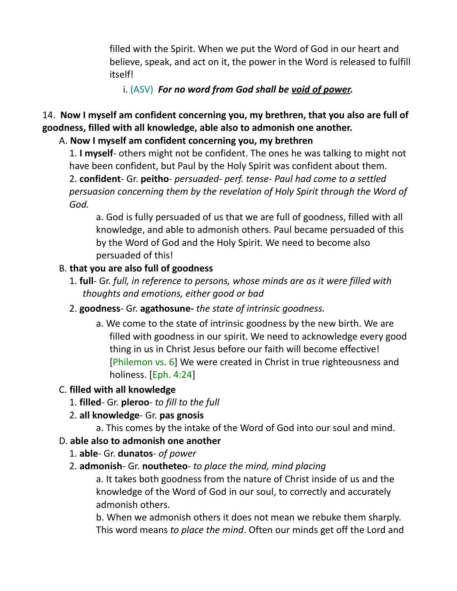filled with the Spirit. When we put the Word of God in our heart and believe, speak, and act on it, the power in the Word is released to fulfill itself!

i. (ASV) *For no word from God shall be void of power.*

# 14. **Now I myself am confident concerning you, my brethren, that you also are full of goodness, filled with all knowledge, able also to admonish one another.**

## A. **Now I myself am confident concerning you, my brethren**

1. **I myself**- others might not be confident. The ones he was talking to might not have been confident, but Paul by the Holy Spirit was confident about them. 2. **confident**- Gr. **peitho**- *persuaded- perf. tense- Paul had come to a settled persuasion concerning them by the revelation of Holy Spirit through the Word of God.*

a. God is fully persuaded of us that we are full of goodness, filled with all knowledge, and able to admonish others. Paul became persuaded of this by the Word of God and the Holy Spirit. We need to become also persuaded of this!

## B. **that you are also full of goodness**

- 1. **full** Gr. *full, in reference to persons, whose minds are as it were filled with thoughts and emotions, either good or bad*
- 2. **goodness** Gr. **agathosune-** *the state of intrinsic goodness.* 
	- a. We come to the state of intrinsic goodness by the new birth. We are filled with goodness in our spirit. We need to acknowledge every good thing in us in Christ Jesus before our faith will become effective! [Philemon vs. 6] We were created in Christ in true righteousness and holiness. [Eph. 4:24]

## C. **filled with all knowledge**

1. **filled**- Gr. **pleroo**- *to fill to the full*

## 2. **all knowledge**- Gr. **pas gnosis**

a. This comes by the intake of the Word of God into our soul and mind.

## D. **able also to admonish one another**

- 1. **able** Gr. **dunatos** *of power*
- 2. **admonish** Gr. **noutheteo** *to place the mind, mind placing*

a. It takes both goodness from the nature of Christ inside of us and the knowledge of the Word of God in our soul, to correctly and accurately admonish others.

b. When we admonish others it does not mean we rebuke them sharply. This word means *to place the mind*. Often our minds get off the Lord and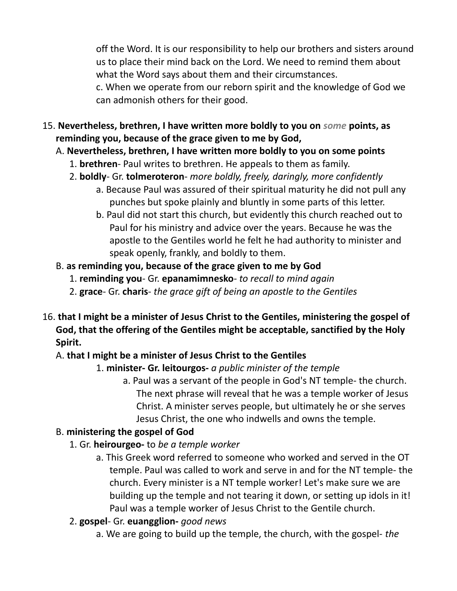off the Word. It is our responsibility to help our brothers and sisters around us to place their mind back on the Lord. We need to remind them about what the Word says about them and their circumstances.

c. When we operate from our reborn spirit and the knowledge of God we can admonish others for their good.

- 15. **Nevertheless, brethren, I have written more boldly to you on** *some* **points, as reminding you, because of the grace given to me by God,** 
	- A. **Nevertheless, brethren, I have written more boldly to you on some points**
		- 1. **brethren** Paul writes to brethren. He appeals to them as family.
		- 2. **boldly** Gr. **tolmeroteron** *more boldly, freely, daringly, more confidently*
			- a. Because Paul was assured of their spiritual maturity he did not pull any punches but spoke plainly and bluntly in some parts of this letter.
			- b. Paul did not start this church, but evidently this church reached out to Paul for his ministry and advice over the years. Because he was the apostle to the Gentiles world he felt he had authority to minister and speak openly, frankly, and boldly to them.
	- B. **as reminding you, because of the grace given to me by God**
		- 1. **reminding you** Gr. **epanamimnesko** *to recall to mind again*
		- 2. **grace** Gr. **charis** *the grace gift of being an apostle to the Gentiles*
- 16. **that I might be a minister of Jesus Christ to the Gentiles, ministering the gospel of God, that the offering of the Gentiles might be acceptable, sanctified by the Holy Spirit.** 
	- A. **that I might be a minister of Jesus Christ to the Gentiles**

## 1. **minister- Gr. leitourgos-** *a public minister of the temple*

a. Paul was a servant of the people in God's NT temple- the church. The next phrase will reveal that he was a temple worker of Jesus Christ. A minister serves people, but ultimately he or she serves Jesus Christ, the one who indwells and owns the temple.

## B. **ministering the gospel of God**

- 1. Gr. **heirourgeo-** to *be a temple worker*
	- a. This Greek word referred to someone who worked and served in the OT temple. Paul was called to work and serve in and for the NT temple- the church. Every minister is a NT temple worker! Let's make sure we are building up the temple and not tearing it down, or setting up idols in it! Paul was a temple worker of Jesus Christ to the Gentile church.
- 2. **gospel** Gr. **euangglion-** *good news*
	- a. We are going to build up the temple, the church, with the gospel- *the*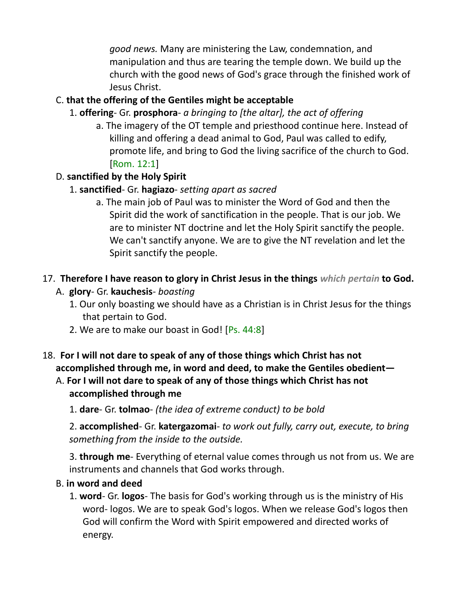*good news.* Many are ministering the Law, condemnation, and manipulation and thus are tearing the temple down. We build up the church with the good news of God's grace through the finished work of Jesus Christ.

# C. **that the offering of the Gentiles might be acceptable**

- 1. **offering** Gr. **prosphora** *a bringing to [the altar], the act of offering*
	- a. The imagery of the OT temple and priesthood continue here. Instead of killing and offering a dead animal to God, Paul was called to edify, promote life, and bring to God the living sacrifice of the church to God. [Rom. 12:1]

## D. **sanctified by the Holy Spirit**

- 1. **sanctified** Gr. **hagiazo** *setting apart as sacred*
	- a. The main job of Paul was to minister the Word of God and then the Spirit did the work of sanctification in the people. That is our job. We are to minister NT doctrine and let the Holy Spirit sanctify the people. We can't sanctify anyone. We are to give the NT revelation and let the Spirit sanctify the people.

## 17. **Therefore I have reason to glory in Christ Jesus in the things** *which pertain* **to God.**

- A. **glory** Gr. **kauchesis** *boasting*
	- 1. Our only boasting we should have as a Christian is in Christ Jesus for the things that pertain to God.
	- 2. We are to make our boast in God! [Ps. 44:8]
- 18. **For I will not dare to speak of any of those things which Christ has not accomplished through me, in word and deed, to make the Gentiles obedient—**
	- A. **For I will not dare to speak of any of those things which Christ has not accomplished through me**

1. **dare**- Gr. **tolmao**- *(the idea of extreme conduct) to be bold*

2. **accomplished**- Gr. **katergazomai**- *to work out fully, carry out, execute, to bring something from the inside to the outside.*

3. **through me**- Everything of eternal value comes through us not from us. We are instruments and channels that God works through.

#### B. **in word and deed**

1. **word**- Gr. **logos**- The basis for God's working through us is the ministry of His word- logos. We are to speak God's logos. When we release God's logos then God will confirm the Word with Spirit empowered and directed works of energy.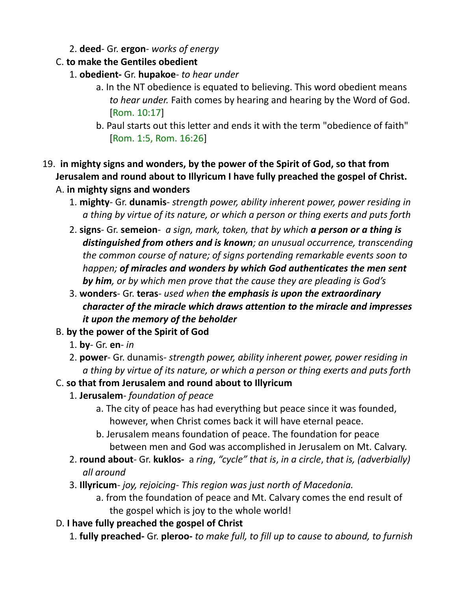- 2. **deed** Gr. **ergon** *works of energy*
- C. **to make the Gentiles obedient**
	- 1. **obedient-** Gr. **hupakoe** *to hear under*
		- a. In the NT obedience is equated to believing. This word obedient means *to hear under.* Faith comes by hearing and hearing by the Word of God. [Rom. 10:17]
		- b. Paul starts out this letter and ends it with the term "obedience of faith" [Rom. 1:5, Rom. 16:26]
- 19. **in mighty signs and wonders, by the power of the Spirit of God, so that from Jerusalem and round about to Illyricum I have fully preached the gospel of Christ.** 
	- A. **in mighty signs and wonders**
		- 1. **mighty** Gr. **dunamis** *strength power, ability inherent power, power residing in a thing by virtue of its nature, or which a person or thing exerts and puts forth*
		- 2. **signs** Gr. **semeion** *a sign, mark, token, that by which a person or a thing is distinguished from others and is known; an unusual occurrence, transcending the common course of nature; of signs portending remarkable events soon to happen; of miracles and wonders by which God authenticates the men sent by him, or by which men prove that the cause they are pleading is God's*
		- 3. **wonders** Gr. **teras** *used when the emphasis is upon the extraordinary character of the miracle which draws attention to the miracle and impresses it upon the memory of the beholder*
	- B. **by the power of the Spirit of God**
		- 1. **by** Gr. **en**- *in*
		- 2. **power** Gr. dunamis- *strength power, ability inherent power, power residing in a thing by virtue of its nature, or which a person or thing exerts and puts forth*
	- C. **so that from Jerusalem and round about to Illyricum**
		- 1. **Jerusalem** *foundation of peace*
			- a. The city of peace has had everything but peace since it was founded, however, when Christ comes back it will have eternal peace.
			- b. Jerusalem means foundation of peace. The foundation for peace between men and God was accomplished in Jerusalem on Mt. Calvary.
		- 2. **round about** Gr. **kuklos-** a *ring*, *"cycle" that is*, *in a circle*, *that is, (adverbially) all around*
		- 3. **Illyricum** *joy, rejoicing- This region was just north of Macedonia.*
			- a. from the foundation of peace and Mt. Calvary comes the end result of the gospel which is joy to the whole world!
	- D. **I have fully preached the gospel of Christ**
		- 1. **fully preached-** Gr. **pleroo-** *to make full, to fill up to cause to abound, to furnish*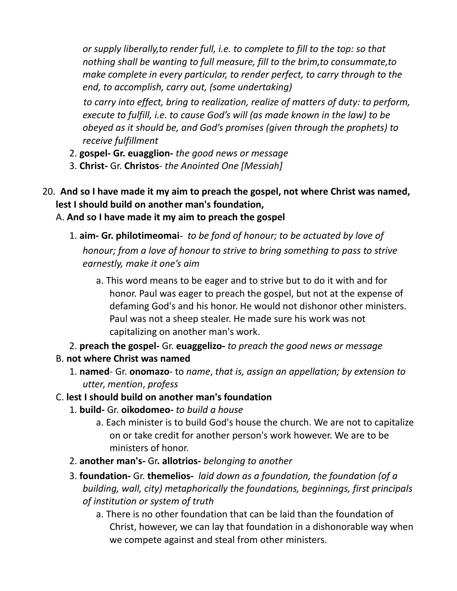*or supply liberally,to render full, i.e. to complete to fill to the top: so that nothing shall be wanting to full measure, fill to the brim,to consummate,to make complete in every particular, to render perfect, to carry through to the end, to accomplish, carry out, (some undertaking)*

 *to carry into effect, bring to realization, realize of matters of duty: to perform, execute to fulfill, i.e. to cause God's will (as made known in the law) to be obeyed as it should be, and God's promises (given through the prophets) to receive fulfillment*

- 2. **gospel- Gr. euagglion-** *the good news or message*
- 3. **Christ-** Gr. **Christos** *the Anointed One [Messiah]*
- 20. **And so I have made it my aim to preach the gospel, not where Christ was named, lest I should build on another man's foundation,**  A. **And so I have made it my aim to preach the gospel**
	- 1. **aim- Gr. philotimeomai** *to be fond of honour; to be actuated by love of honour; from a love of honour to strive to bring something to pass to strive earnestly, make it one's aim*
		- a. This word means to be eager and to strive but to do it with and for honor. Paul was eager to preach the gospel, but not at the expense of defaming God's and his honor. He would not dishonor other ministers. Paul was not a sheep stealer. He made sure his work was not capitalizing on another man's work.
	- 2. **preach the gospel-** Gr. **euaggelizo-** *to preach the good news or message*
	- B. **not where Christ was named**
		- 1. **named** Gr. **onomazo** to *name*, *that is, assign an appellation; by extension to utter*, *mention*, *profess*

# C. **lest I should build on another man's foundation**

- 1. **build-** Gr. **oikodomeo-** *to build a house*
	- a. Each minister is to build God's house the church. We are not to capitalize on or take credit for another person's work however. We are to be ministers of honor.
- 2. **another man's-** Gr**. allotrios-** *belonging to another*
- 3. **foundation-** Gr. **themelios-** *laid down as a foundation, the foundation (of a building, wall, city) metaphorically the foundations, beginnings, first principals of institution or system of truth*
	- a. There is no other foundation that can be laid than the foundation of Christ, however, we can lay that foundation in a dishonorable way when we compete against and steal from other ministers.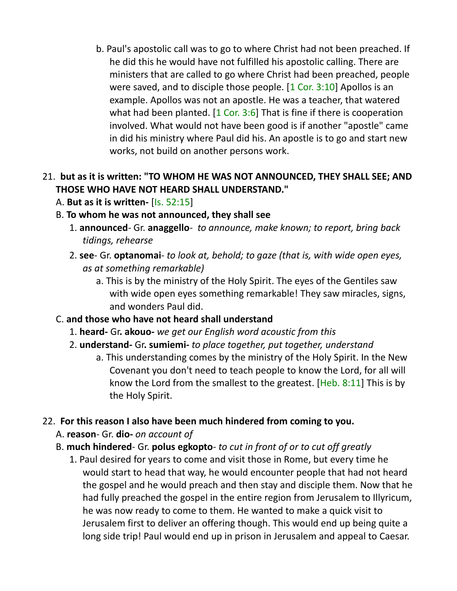b. Paul's apostolic call was to go to where Christ had not been preached. If he did this he would have not fulfilled his apostolic calling. There are ministers that are called to go where Christ had been preached, people were saved, and to disciple those people.  $[1 \text{ Cor. } 3:10]$  Apollos is an example. Apollos was not an apostle. He was a teacher, that watered what had been planted.  $[1 \text{ Cor. } 3:6]$  That is fine if there is cooperation involved. What would not have been good is if another "apostle" came in did his ministry where Paul did his. An apostle is to go and start new works, not build on another persons work.

### 21. **but as it is written: "TO WHOM HE WAS NOT ANNOUNCED, THEY SHALL SEE; AND THOSE WHO HAVE NOT HEARD SHALL UNDERSTAND."**

- A. **But as it is written-** [Is. 52:15]
- B. **To whom he was not announced, they shall see**
	- 1. **announced** Gr. **anaggello** *to announce, make known; to report, bring back tidings, rehearse*
	- 2. **see** Gr. **optanomai**- *to look at, behold; to gaze (that is, with wide open eyes, as at something remarkable)*
		- a. This is by the ministry of the Holy Spirit. The eyes of the Gentiles saw with wide open eyes something remarkable! They saw miracles, signs, and wonders Paul did.
- C. **and those who have not heard shall understand**
	- 1. **heard-** Gr**. akouo-** *we get our English word acoustic from this*
	- 2. **understand-** Gr**. sumiemi-** *to place together, put together, understand*
		- a. This understanding comes by the ministry of the Holy Spirit. In the New Covenant you don't need to teach people to know the Lord, for all will know the Lord from the smallest to the greatest. [Heb. 8:11] This is by the Holy Spirit.

#### 22. **For this reason I also have been much hindered from coming to you.**

- A. **reason** Gr. **dio-** *on account of*
- B. **much hindered** Gr. **polus egkopto** *to cut in front of or to cut off greatly*
	- 1. Paul desired for years to come and visit those in Rome, but every time he would start to head that way, he would encounter people that had not heard the gospel and he would preach and then stay and disciple them. Now that he had fully preached the gospel in the entire region from Jerusalem to Illyricum, he was now ready to come to them. He wanted to make a quick visit to Jerusalem first to deliver an offering though. This would end up being quite a long side trip! Paul would end up in prison in Jerusalem and appeal to Caesar.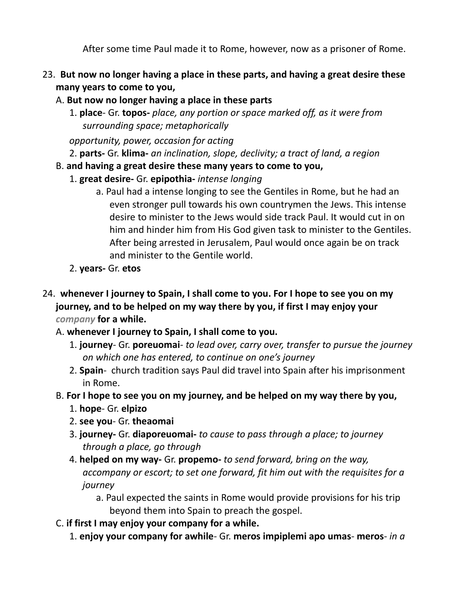After some time Paul made it to Rome, however, now as a prisoner of Rome.

- 23. **But now no longer having a place in these parts, and having a great desire these many years to come to you,**
	- A. **But now no longer having a place in these parts**
		- 1. **place** Gr. **topos-** *place, any portion or space marked off, as it were from surrounding space; metaphorically*

*opportunity, power, occasion for acting*

- 2. **parts-** Gr. **klima-** *an inclination, slope, declivity; a tract of land, a region*
- B. **and having a great desire these many years to come to you,**
	- 1. **great desire-** Gr. **epipothia-** *intense longing*
		- a. Paul had a intense longing to see the Gentiles in Rome, but he had an even stronger pull towards his own countrymen the Jews. This intense desire to minister to the Jews would side track Paul. It would cut in on him and hinder him from His God given task to minister to the Gentiles. After being arrested in Jerusalem, Paul would once again be on track and minister to the Gentile world.
	- 2. **years-** Gr. **etos**
- 24. **whenever I journey to Spain, I shall come to you. For I hope to see you on my journey, and to be helped on my way there by you, if first I may enjoy your** *company* **for a while.** 
	- A. **whenever I journey to Spain, I shall come to you.**
		- 1. **journey** Gr. **poreuomai** *to lead over, carry over, transfer to pursue the journey on which one has entered, to continue on one's journey*
		- 2. **Spain** church tradition says Paul did travel into Spain after his imprisonment in Rome.
	- B. **For I hope to see you on my journey, and be helped on my way there by you,**
		- 1. **hope** Gr. **elpizo**
		- 2. **see you** Gr. **theaomai**
		- 3. **journey-** Gr. **diaporeuomai-** *to cause to pass through a place; to journey through a place, go through*
		- 4. **helped on my way-** Gr. **propemo-** *to send forward, bring on the way, accompany or escort; to set one forward, fit him out with the requisites for a journey*
			- a. Paul expected the saints in Rome would provide provisions for his trip beyond them into Spain to preach the gospel.
	- C. **if first I may enjoy your company for a while.**
		- 1. **enjoy your company for awhile** Gr. **meros impiplemi apo umas meros** *in a*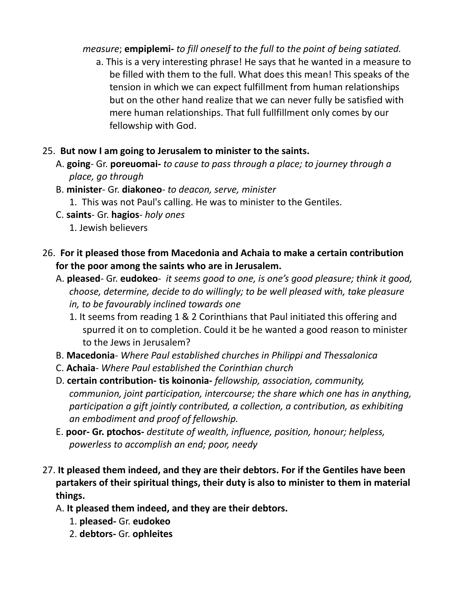#### *measure*; **empiplemi-** *to fill oneself to the full to the point of being satiated.*

a. This is a very interesting phrase! He says that he wanted in a measure to be filled with them to the full. What does this mean! This speaks of the tension in which we can expect fulfillment from human relationships but on the other hand realize that we can never fully be satisfied with mere human relationships. That full fullfillment only comes by our fellowship with God.

#### 25. **But now I am going to Jerusalem to minister to the saints.**

- A. **going** Gr. **poreuomai-** *to cause to pass through a place; to journey through a place, go through*
- B. **minister** Gr. **diakoneo** *to deacon, serve, minister*
	- 1. This was not Paul's calling. He was to minister to the Gentiles.
- C. **saints** Gr. **hagios** *holy ones*
	- 1. Jewish believers
- 26. **For it pleased those from Macedonia and Achaia to make a certain contribution for the poor among the saints who are in Jerusalem.**
	- A. **pleased** Gr. **eudokeo** *it seems good to one, is one's good pleasure; think it good, choose, determine, decide to do willingly; to be well pleased with, take pleasure in, to be favourably inclined towards one*
		- 1. It seems from reading 1 & 2 Corinthians that Paul initiated this offering and spurred it on to completion. Could it be he wanted a good reason to minister to the Jews in Jerusalem?
	- B. **Macedonia** *Where Paul established churches in Philippi and Thessalonica*
	- C. **Achaia** *Where Paul established the Corinthian church*
	- D. **certain contribution- tis koinonia-** *fellowship, association, community, communion, joint participation, intercourse; the share which one has in anything, participation a gift jointly contributed, a collection, a contribution, as exhibiting an embodiment and proof of fellowship.*
	- E. **poor- Gr. ptochos-** *destitute of wealth, influence, position, honour; helpless, powerless to accomplish an end; poor, needy*
- 27. **It pleased them indeed, and they are their debtors. For if the Gentiles have been partakers of their spiritual things, their duty is also to minister to them in material things.**
	- A. **It pleased them indeed, and they are their debtors.**
		- 1. **pleased-** Gr. **eudokeo**
		- 2. **debtors-** Gr. **ophleites**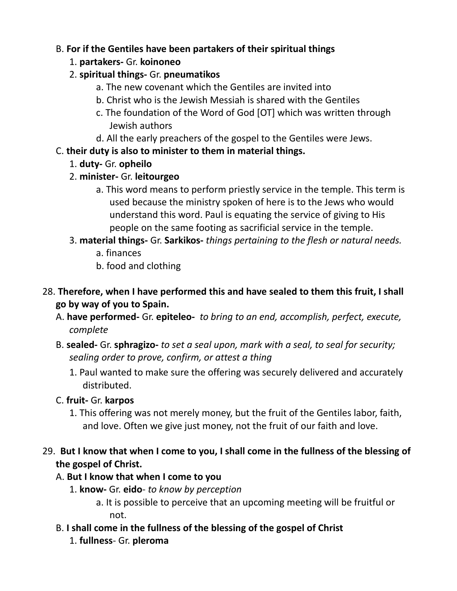### B. **For if the Gentiles have been partakers of their spiritual things**

- 1. **partakers-** Gr. **koinoneo**
- 2. **spiritual things-** Gr. **pneumatikos**
	- a. The new covenant which the Gentiles are invited into
	- b. Christ who is the Jewish Messiah is shared with the Gentiles
	- c. The foundation of the Word of God [OT] which was written through Jewish authors
	- d. All the early preachers of the gospel to the Gentiles were Jews.

# C. **their duty is also to minister to them in material things.**

- 1. **duty-** Gr. **opheilo**
- 2. **minister-** Gr. **leitourgeo**
	- a. This word means to perform priestly service in the temple. This term is used because the ministry spoken of here is to the Jews who would understand this word. Paul is equating the service of giving to His people on the same footing as sacrificial service in the temple.
- 3. **material things-** Gr. **Sarkikos-** *things pertaining to the flesh or natural needs.*
	- a. finances
	- b. food and clothing
- 28. **Therefore, when I have performed this and have sealed to them this fruit, I shall go by way of you to Spain.**
	- A. **have performed-** Gr. **epiteleo-** *to bring to an end, accomplish, perfect, execute, complete*
	- B. **sealed-** Gr. **sphragizo-** *to set a seal upon, mark with a seal, to seal for security; sealing order to prove, confirm, or attest a thing*
		- 1. Paul wanted to make sure the offering was securely delivered and accurately distributed.
	- C. **fruit-** Gr. **karpos**
		- 1. This offering was not merely money, but the fruit of the Gentiles labor, faith, and love. Often we give just money, not the fruit of our faith and love.

# 29. **But I know that when I come to you, I shall come in the fullness of the blessing of the gospel of Christ.**

# A. **But I know that when I come to you**

- 1. **know-** Gr. **eido** *to know by perception*
	- a. It is possible to perceive that an upcoming meeting will be fruitful or not.
- B. **I shall come in the fullness of the blessing of the gospel of Christ**
	- 1. **fullness** Gr. **pleroma**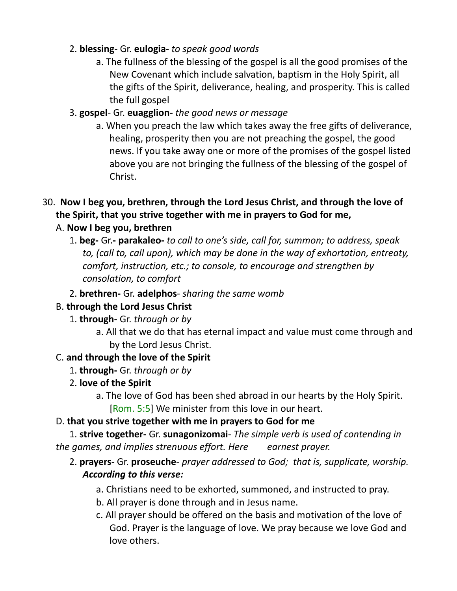### 2. **blessing**- Gr. **eulogia-** *to speak good words*

- a. The fullness of the blessing of the gospel is all the good promises of the New Covenant which include salvation, baptism in the Holy Spirit, all the gifts of the Spirit, deliverance, healing, and prosperity. This is called the full gospel
- 3. **gospel** Gr. **euagglion-** *the good news or message*
	- a. When you preach the law which takes away the free gifts of deliverance, healing, prosperity then you are not preaching the gospel, the good news. If you take away one or more of the promises of the gospel listed above you are not bringing the fullness of the blessing of the gospel of Christ.
- 30. **Now I beg you, brethren, through the Lord Jesus Christ, and through the love of the Spirit, that you strive together with me in prayers to God for me,**

## A. **Now I beg you, brethren**

- 1. **beg-** Gr. **parakaleo-** *to call to one's side, call for, summon; to address, speak to, (call to, call upon), which may be done in the way of exhortation, entreaty, comfort, instruction, etc.; to console, to encourage and strengthen by consolation, to comfort*
- 2. **brethren-** Gr. **adelphos** *sharing the same womb*

## B. **through the Lord Jesus Christ**

- 1. **through-** Gr. *through or by*
	- a. All that we do that has eternal impact and value must come through and by the Lord Jesus Christ.

## C. **and through the love of the Spirit**

- 1. **through-** Gr. *through or by*
- 2. **love of the Spirit**
	- a. The love of God has been shed abroad in our hearts by the Holy Spirit. [Rom. 5:5] We minister from this love in our heart.

# D. **that you strive together with me in prayers to God for me**

1. **strive together-** Gr. **sunagonizomai**- *The simple verb is used of contending in the games, and implies strenuous effort. Here earnest prayer.*

## 2. **prayers-** Gr. **proseuche**- *prayer addressed to God; that is, supplicate, worship. According to this verse:*

- a. Christians need to be exhorted, summoned, and instructed to pray.
- b. All prayer is done through and in Jesus name.
- c. All prayer should be offered on the basis and motivation of the love of God. Prayer is the language of love. We pray because we love God and love others.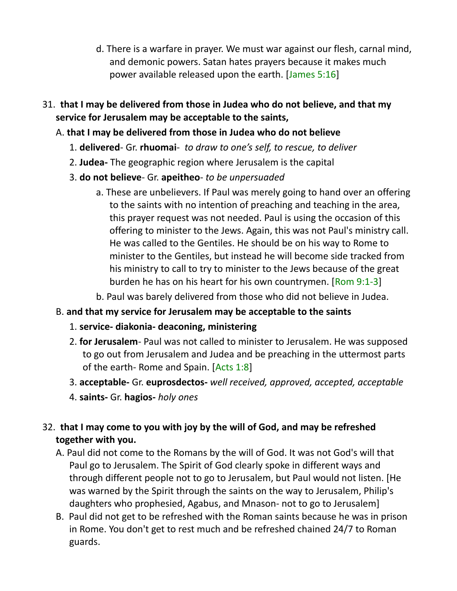- d. There is a warfare in prayer. We must war against our flesh, carnal mind, and demonic powers. Satan hates prayers because it makes much power available released upon the earth. [James 5:16]
- 31. **that I may be delivered from those in Judea who do not believe, and that my service for Jerusalem may be acceptable to the saints,**

### A. **that I may be delivered from those in Judea who do not believe**

- 1. **delivered** Gr. **rhuomai** *to draw to one's self, to rescue, to deliver*
- 2. **Judea-** The geographic region where Jerusalem is the capital
- 3. **do not believe** Gr. **apeitheo** *to be unpersuaded*
	- a. These are unbelievers. If Paul was merely going to hand over an offering to the saints with no intention of preaching and teaching in the area, this prayer request was not needed. Paul is using the occasion of this offering to minister to the Jews. Again, this was not Paul's ministry call. He was called to the Gentiles. He should be on his way to Rome to minister to the Gentiles, but instead he will become side tracked from his ministry to call to try to minister to the Jews because of the great burden he has on his heart for his own countrymen. [Rom 9:1-3]
	- b. Paul was barely delivered from those who did not believe in Judea.

## B. **and that my service for Jerusalem may be acceptable to the saints**

- 1. **service- diakonia- deaconing, ministering**
- 2. **for Jerusalem** Paul was not called to minister to Jerusalem. He was supposed to go out from Jerusalem and Judea and be preaching in the uttermost parts of the earth- Rome and Spain. [Acts 1:8]
- 3. **acceptable-** Gr. **euprosdectos-** *well received, approved, accepted, acceptable*
- 4. **saints-** Gr. **hagios-** *holy ones*

32. **that I may come to you with joy by the will of God, and may be refreshed together with you.**

- A. Paul did not come to the Romans by the will of God. It was not God's will that Paul go to Jerusalem. The Spirit of God clearly spoke in different ways and through different people not to go to Jerusalem, but Paul would not listen. [He was warned by the Spirit through the saints on the way to Jerusalem, Philip's daughters who prophesied, Agabus, and Mnason- not to go to Jerusalem]
- B.Paul did not get to be refreshed with the Roman saints because he was in prison in Rome. You don't get to rest much and be refreshed chained 24/7 to Roman guards.